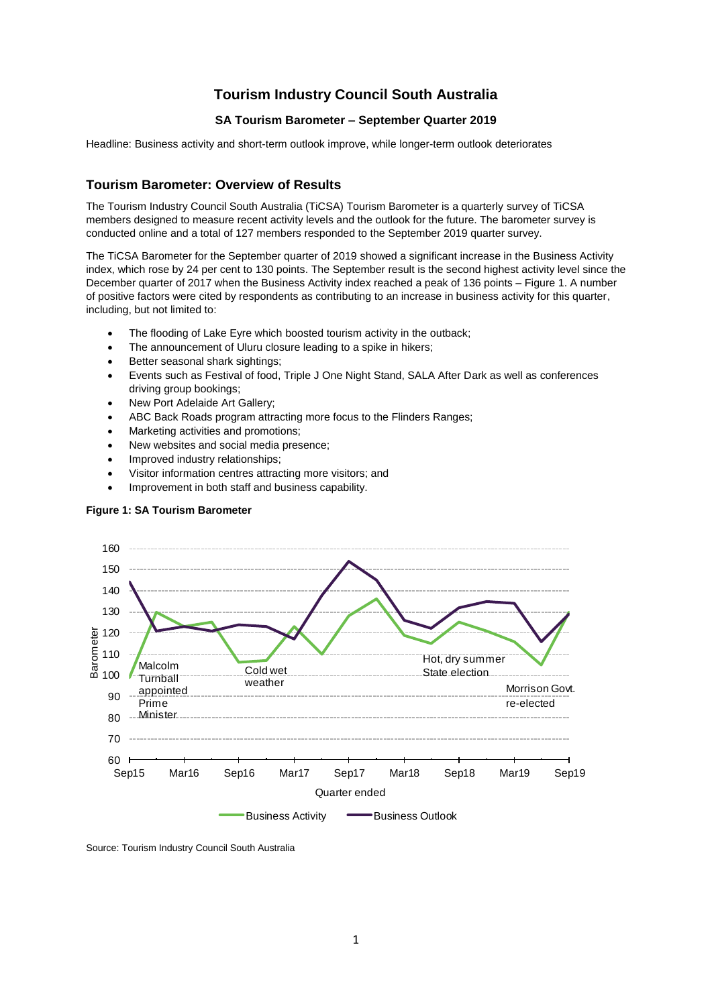# **Tourism Industry Council South Australia**

# **SA Tourism Barometer – September Quarter 2019**

Headline: Business activity and short-term outlook improve, while longer-term outlook deteriorates

# **Tourism Barometer: Overview of Results**

The Tourism Industry Council South Australia (TiCSA) Tourism Barometer is a quarterly survey of TiCSA members designed to measure recent activity levels and the outlook for the future. The barometer survey is conducted online and a total of 127 members responded to the September 2019 quarter survey.

The TiCSA Barometer for the September quarter of 2019 showed a significant increase in the Business Activity index, which rose by 24 per cent to 130 points. The September result is the second highest activity level since the December quarter of 2017 when the Business Activity index reached a peak of 136 points – Figure 1. A number of positive factors were cited by respondents as contributing to an increase in business activity for this quarter, including, but not limited to:

- The flooding of Lake Eyre which boosted tourism activity in the outback;
- The announcement of Uluru closure leading to a spike in hikers;
- Better seasonal shark sightings;
- Events such as Festival of food, Triple J One Night Stand, SALA After Dark as well as conferences driving group bookings:
- New Port Adelaide Art Gallery;
- ABC Back Roads program attracting more focus to the Flinders Ranges;
- Marketing activities and promotions;
- New websites and social media presence;
- Improved industry relationships;
- Visitor information centres attracting more visitors; and
- Improvement in both staff and business capability.

# **Figure 1: SA Tourism Barometer**



Source: Tourism Industry Council South Australia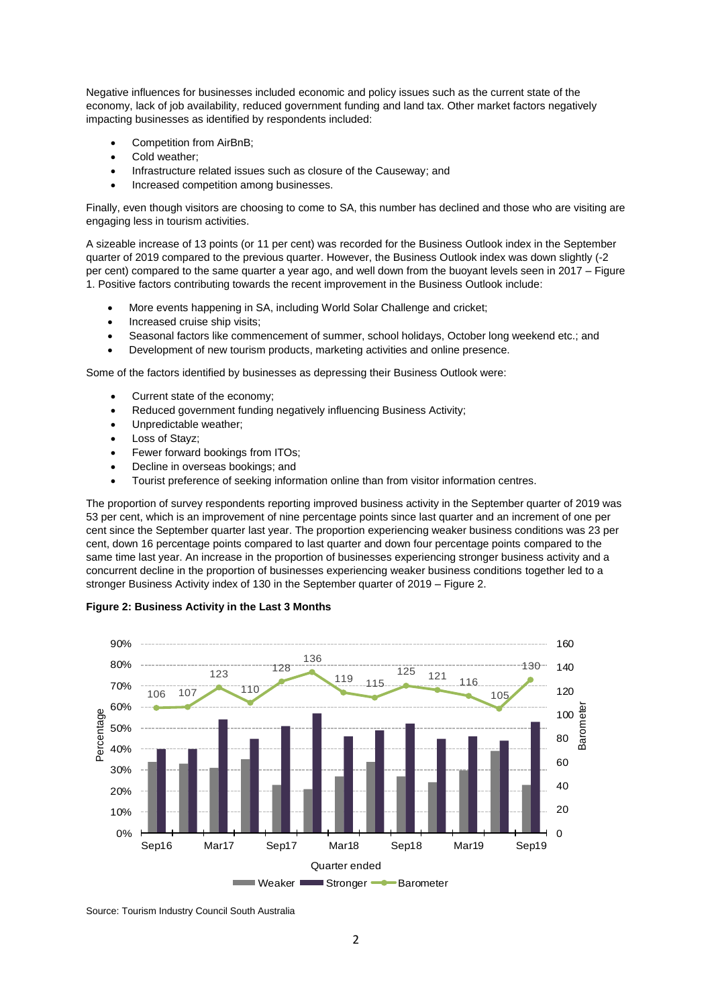Negative influences for businesses included economic and policy issues such as the current state of the economy, lack of job availability, reduced government funding and land tax. Other market factors negatively impacting businesses as identified by respondents included:

- Competition from AirBnB;
- Cold weather;
- Infrastructure related issues such as closure of the Causeway; and
- Increased competition among businesses.

Finally, even though visitors are choosing to come to SA, this number has declined and those who are visiting are engaging less in tourism activities.

A sizeable increase of 13 points (or 11 per cent) was recorded for the Business Outlook index in the September quarter of 2019 compared to the previous quarter. However, the Business Outlook index was down slightly (-2 per cent) compared to the same quarter a year ago, and well down from the buoyant levels seen in 2017 – Figure 1. Positive factors contributing towards the recent improvement in the Business Outlook include:

- More events happening in SA, including World Solar Challenge and cricket;
- Increased cruise ship visits:
- Seasonal factors like commencement of summer, school holidays, October long weekend etc.; and
- Development of new tourism products, marketing activities and online presence.

Some of the factors identified by businesses as depressing their Business Outlook were:

- Current state of the economy;
- Reduced government funding negatively influencing Business Activity;
- Unpredictable weather;
- Loss of Stayz;
- Fewer forward bookings from ITOs:
- Decline in overseas bookings; and
- Tourist preference of seeking information online than from visitor information centres.

The proportion of survey respondents reporting improved business activity in the September quarter of 2019 was 53 per cent, which is an improvement of nine percentage points since last quarter and an increment of one per cent since the September quarter last year. The proportion experiencing weaker business conditions was 23 per cent, down 16 percentage points compared to last quarter and down four percentage points compared to the same time last year. An increase in the proportion of businesses experiencing stronger business activity and a concurrent decline in the proportion of businesses experiencing weaker business conditions together led to a stronger Business Activity index of 130 in the September quarter of 2019 – Figure 2.





Source: Tourism Industry Council South Australia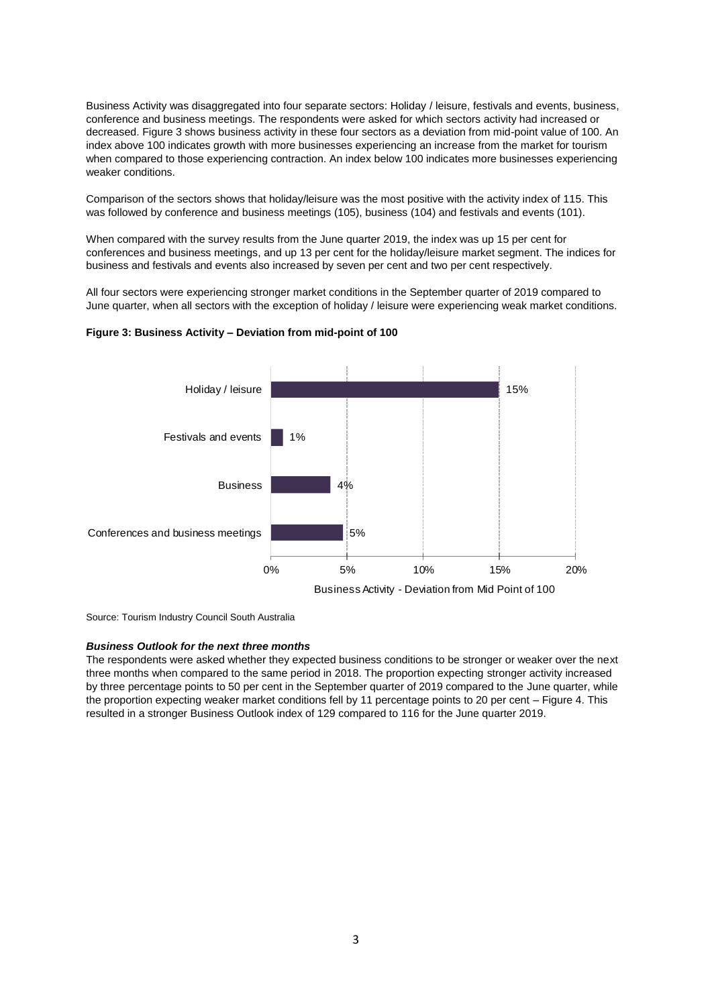Business Activity was disaggregated into four separate sectors: Holiday / leisure, festivals and events, business, conference and business meetings. The respondents were asked for which sectors activity had increased or decreased. Figure 3 shows business activity in these four sectors as a deviation from mid-point value of 100. An index above 100 indicates growth with more businesses experiencing an increase from the market for tourism when compared to those experiencing contraction. An index below 100 indicates more businesses experiencing weaker conditions.

Comparison of the sectors shows that holiday/leisure was the most positive with the activity index of 115. This was followed by conference and business meetings (105), business (104) and festivals and events (101).

When compared with the survey results from the June quarter 2019, the index was up 15 per cent for conferences and business meetings, and up 13 per cent for the holiday/leisure market segment. The indices for business and festivals and events also increased by seven per cent and two per cent respectively.

All four sectors were experiencing stronger market conditions in the September quarter of 2019 compared to June quarter, when all sectors with the exception of holiday / leisure were experiencing weak market conditions.



### **Figure 3: Business Activity – Deviation from mid-point of 100**

Source: Tourism Industry Council South Australia

### *Business Outlook for the next three months*

The respondents were asked whether they expected business conditions to be stronger or weaker over the next three months when compared to the same period in 2018. The proportion expecting stronger activity increased by three percentage points to 50 per cent in the September quarter of 2019 compared to the June quarter, while the proportion expecting weaker market conditions fell by 11 percentage points to 20 per cent – Figure 4. This resulted in a stronger Business Outlook index of 129 compared to 116 for the June quarter 2019.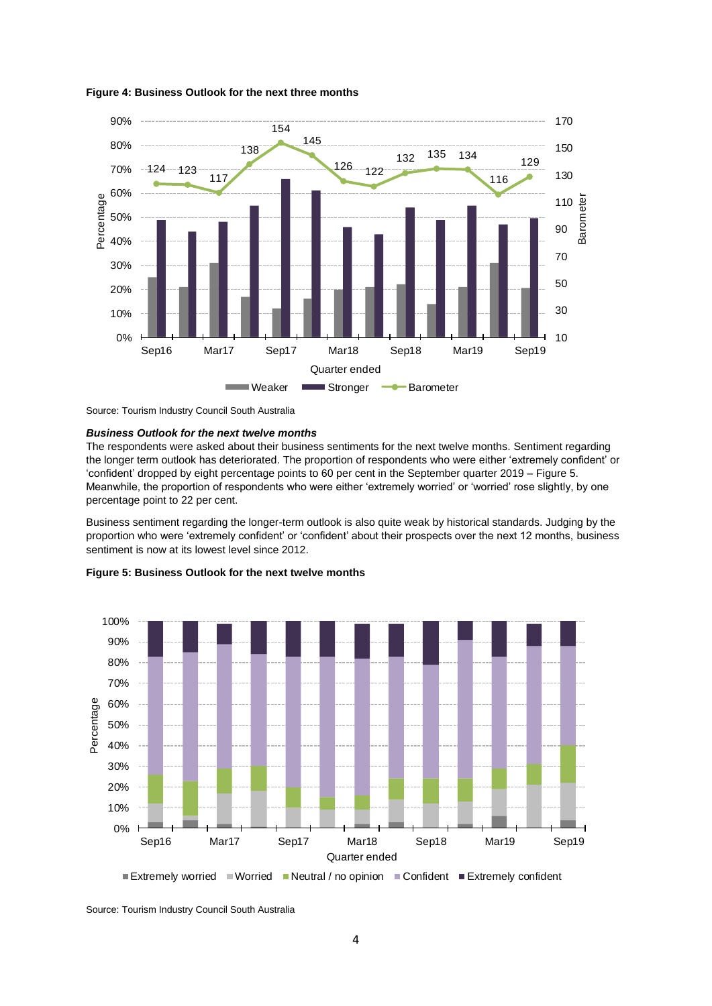

### **Figure 4: Business Outlook for the next three months**



### *Business Outlook for the next twelve months*

The respondents were asked about their business sentiments for the next twelve months. Sentiment regarding the longer term outlook has deteriorated. The proportion of respondents who were either 'extremely confident' or 'confident' dropped by eight percentage points to 60 per cent in the September quarter 2019 – Figure 5. Meanwhile, the proportion of respondents who were either 'extremely worried' or 'worried' rose slightly, by one percentage point to 22 per cent.

Business sentiment regarding the longer-term outlook is also quite weak by historical standards. Judging by the proportion who were 'extremely confident' or 'confident' about their prospects over the next 12 months, business sentiment is now at its lowest level since 2012.



#### **Figure 5: Business Outlook for the next twelve months**

Extremely worried  $\blacksquare$  Worried  $\blacksquare$  Neutral / no opinion  $\blacksquare$  Confident  $\blacksquare$  Extremely confident

Source: Tourism Industry Council South Australia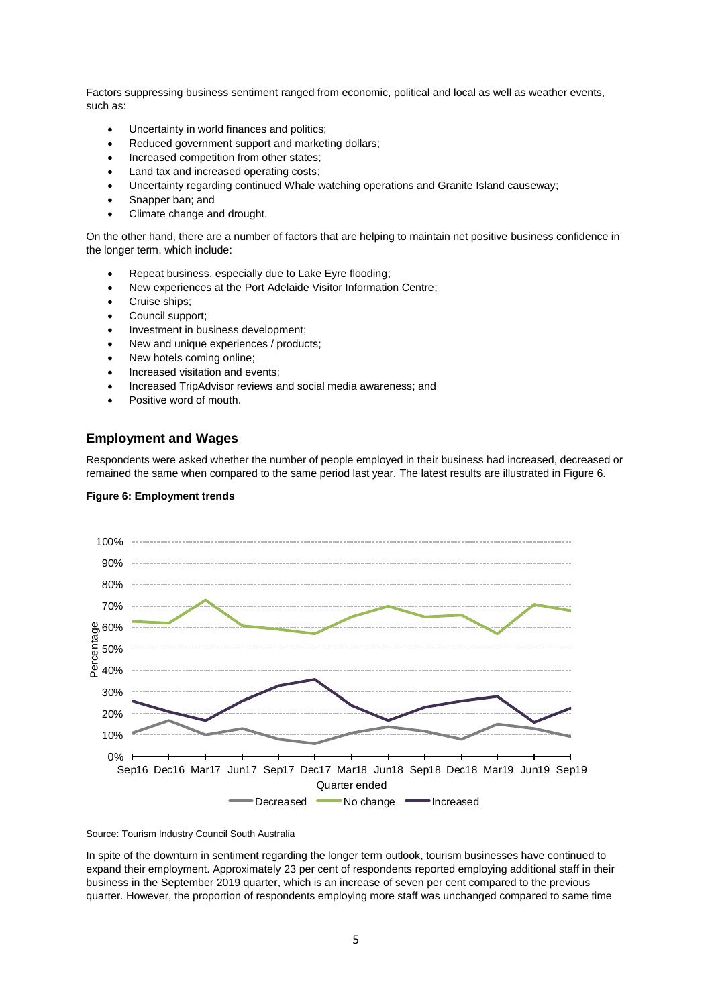Factors suppressing business sentiment ranged from economic, political and local as well as weather events, such as:

- Uncertainty in world finances and politics;
- Reduced government support and marketing dollars:
- Increased competition from other states;
- Land tax and increased operating costs;
- Uncertainty regarding continued Whale watching operations and Granite Island causeway;
- Snapper ban; and
- Climate change and drought.

On the other hand, there are a number of factors that are helping to maintain net positive business confidence in the longer term, which include:

- Repeat business, especially due to Lake Eyre flooding;
- New experiences at the Port Adelaide Visitor Information Centre;
- Cruise ships;
- Council support;
- Investment in business development;
- New and unique experiences / products;
- New hotels coming online;
- Increased visitation and events;
- Increased TripAdvisor reviews and social media awareness; and
- Positive word of mouth.

### **Employment and Wages**

Respondents were asked whether the number of people employed in their business had increased, decreased or remained the same when compared to the same period last year. The latest results are illustrated in Figure 6.





Source: Tourism Industry Council South Australia

In spite of the downturn in sentiment regarding the longer term outlook, tourism businesses have continued to expand their employment. Approximately 23 per cent of respondents reported employing additional staff in their business in the September 2019 quarter, which is an increase of seven per cent compared to the previous quarter. However, the proportion of respondents employing more staff was unchanged compared to same time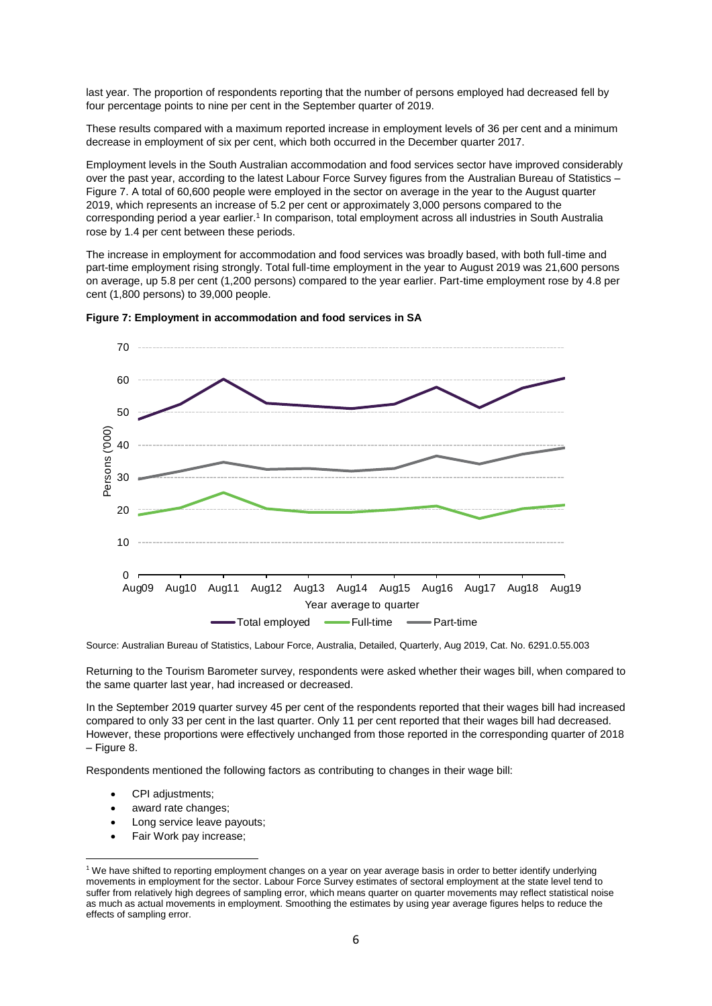last year. The proportion of respondents reporting that the number of persons employed had decreased fell by four percentage points to nine per cent in the September quarter of 2019.

These results compared with a maximum reported increase in employment levels of 36 per cent and a minimum decrease in employment of six per cent, which both occurred in the December quarter 2017.

Employment levels in the South Australian accommodation and food services sector have improved considerably over the past year, according to the latest Labour Force Survey figures from the Australian Bureau of Statistics – Figure 7. A total of 60,600 people were employed in the sector on average in the year to the August quarter 2019, which represents an increase of 5.2 per cent or approximately 3,000 persons compared to the corresponding period a year earlier.<sup>1</sup> In comparison, total employment across all industries in South Australia rose by 1.4 per cent between these periods.

The increase in employment for accommodation and food services was broadly based, with both full-time and part-time employment rising strongly. Total full-time employment in the year to August 2019 was 21,600 persons on average, up 5.8 per cent (1,200 persons) compared to the year earlier. Part-time employment rose by 4.8 per cent (1,800 persons) to 39,000 people.



**Figure 7: Employment in accommodation and food services in SA**



Source: Australian Bureau of Statistics, Labour Force, Australia, Detailed, Quarterly, Aug 2019, Cat. No. 6291.0.55.003

Returning to the Tourism Barometer survey, respondents were asked whether their wages bill, when compared to the same quarter last year, had increased or decreased.

In the September 2019 quarter survey 45 per cent of the respondents reported that their wages bill had increased compared to only 33 per cent in the last quarter. Only 11 per cent reported that their wages bill had decreased. However, these proportions were effectively unchanged from those reported in the corresponding quarter of 2018 – Figure 8.

Respondents mentioned the following factors as contributing to changes in their wage bill:

• CPI adjustments;

**.** 

- award rate changes;
- Long service leave payouts;
- Fair Work pay increase;

<sup>1</sup> We have shifted to reporting employment changes on a year on year average basis in order to better identify underlying movements in employment for the sector. Labour Force Survey estimates of sectoral employment at the state level tend to suffer from relatively high degrees of sampling error, which means quarter on quarter movements may reflect statistical noise as much as actual movements in employment. Smoothing the estimates by using year average figures helps to reduce the effects of sampling error.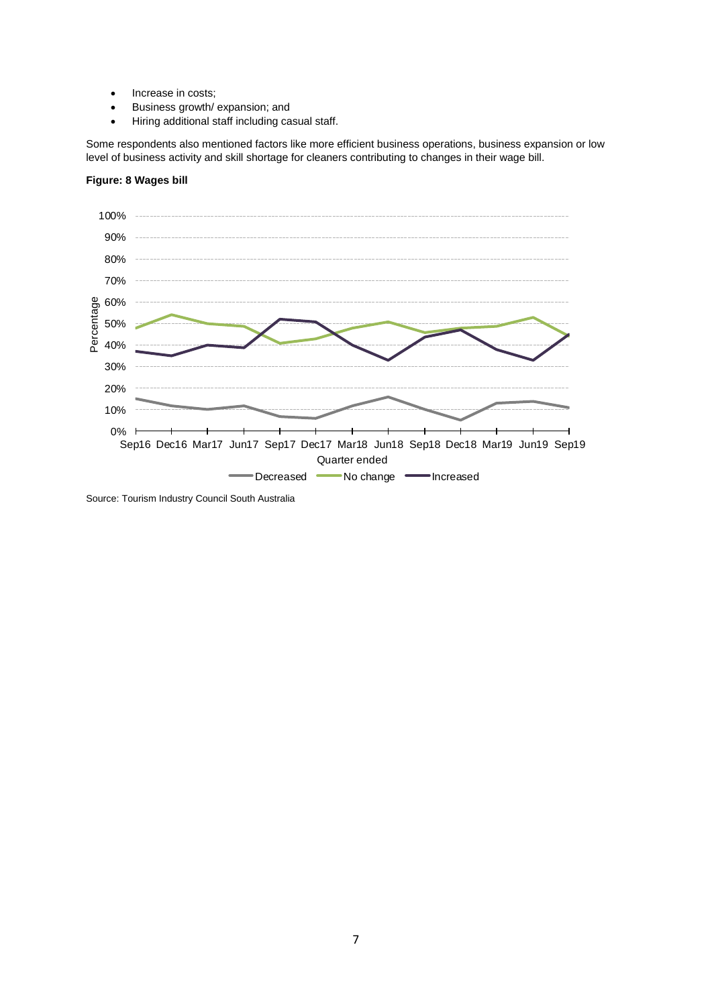- Increase in costs;
- Business growth/ expansion; and
- Hiring additional staff including casual staff.

Some respondents also mentioned factors like more efficient business operations, business expansion or low level of business activity and skill shortage for cleaners contributing to changes in their wage bill.

# **Figure: 8 Wages bill**



Source: Tourism Industry Council South Australia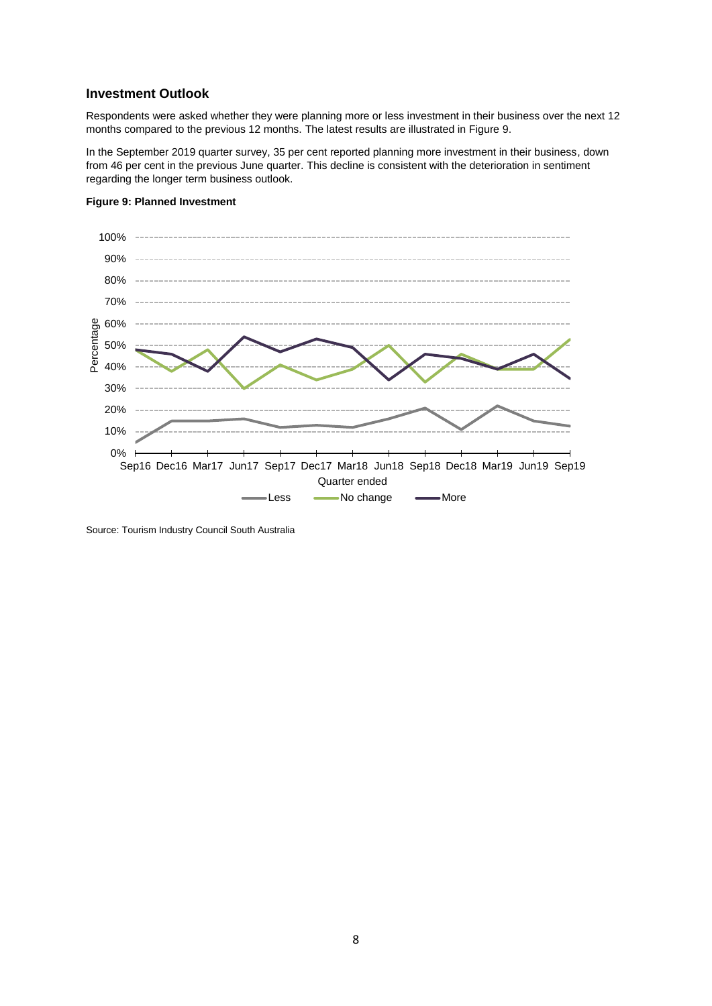### **Investment Outlook**

Respondents were asked whether they were planning more or less investment in their business over the next 12 months compared to the previous 12 months. The latest results are illustrated in Figure 9.

In the September 2019 quarter survey, 35 per cent reported planning more investment in their business, down from 46 per cent in the previous June quarter. This decline is consistent with the deterioration in sentiment regarding the longer term business outlook.



### **Figure 9: Planned Investment**

Source: Tourism Industry Council South Australia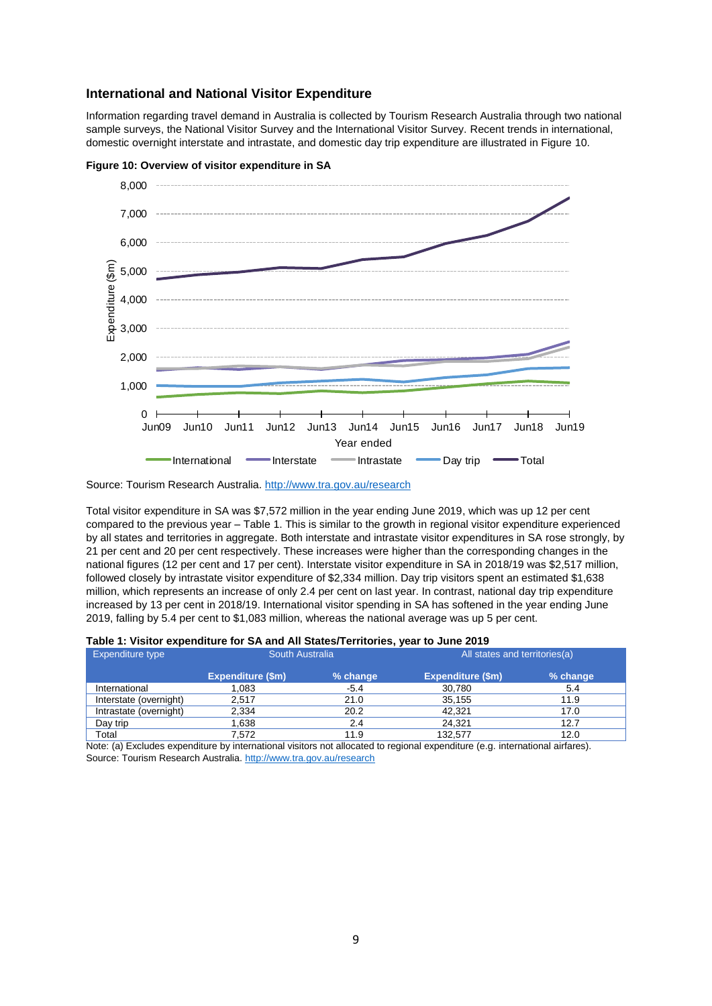### **International and National Visitor Expenditure**

Information regarding travel demand in Australia is collected by Tourism Research Australia through two national sample surveys, the National Visitor Survey and the International Visitor Survey. Recent trends in international, domestic overnight interstate and intrastate, and domestic day trip expenditure are illustrated in Figure 10.





Total visitor expenditure in SA was \$7,572 million in the year ending June 2019, which was up 12 per cent compared to the previous year – Table 1. This is similar to the growth in regional visitor expenditure experienced by all states and territories in aggregate. Both interstate and intrastate visitor expenditures in SA rose strongly, by 21 per cent and 20 per cent respectively. These increases were higher than the corresponding changes in the national figures (12 per cent and 17 per cent). Interstate visitor expenditure in SA in 2018/19 was \$2,517 million, followed closely by intrastate visitor expenditure of \$2,334 million. Day trip visitors spent an estimated \$1,638 million, which represents an increase of only 2.4 per cent on last year. In contrast, national day trip expenditure increased by 13 per cent in 2018/19. International visitor spending in SA has softened in the year ending June 2019, falling by 5.4 per cent to \$1,083 million, whereas the national average was up 5 per cent.

| Table 1: Visitor expenditure for SA and All States/Territories, year to June 2019 |  |  |  |  |  |
|-----------------------------------------------------------------------------------|--|--|--|--|--|
|-----------------------------------------------------------------------------------|--|--|--|--|--|

| Expenditure type       | South Australia   |          | All states and territories (a) |          |  |
|------------------------|-------------------|----------|--------------------------------|----------|--|
|                        | Expenditure (\$m) | % change | Expenditure (\$m)              | % change |  |
| International          | 0.083             | -5.4     | 30,780                         | 5.4      |  |
| Interstate (overnight) | 2.517             | 21.0     | 35.155                         | 11.9     |  |
| Intrastate (overnight) | 2,334             | 20.2     | 42.321                         | 17.0     |  |
| Day trip               | .638              | 2.4      | 24.321                         | 12.7     |  |
| Total                  | 7.572             | 11.9     | 132.577                        | 12.0     |  |

Note: (a) Excludes expenditure by international visitors not allocated to regional expenditure (e.g. international airfares). Source: Tourism Research Australia.<http://www.tra.gov.au/research>

Source: Tourism Research Australia[. http://www.tra.gov.au/research](http://www.tra.gov.au/research)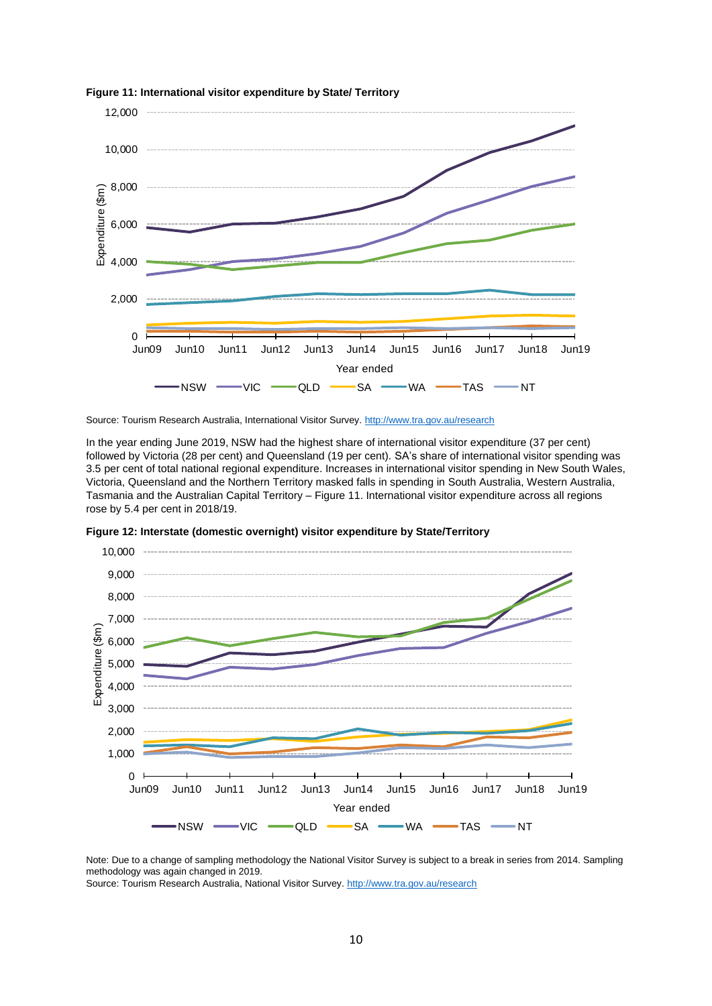

**Figure 11: International visitor expenditure by State/ Territory**

Source: Tourism Research Australia, International Visitor Survey.<http://www.tra.gov.au/research>

In the year ending June 2019, NSW had the highest share of international visitor expenditure (37 per cent) followed by Victoria (28 per cent) and Queensland (19 per cent). SA's share of international visitor spending was 3.5 per cent of total national regional expenditure. Increases in international visitor spending in New South Wales, Victoria, Queensland and the Northern Territory masked falls in spending in South Australia, Western Australia, Tasmania and the Australian Capital Territory – Figure 11. International visitor expenditure across all regions rose by 5.4 per cent in 2018/19.



**Figure 12: Interstate (domestic overnight) visitor expenditure by State/Territory**

Note: Due to a change of sampling methodology the National Visitor Survey is subject to a break in series from 2014. Sampling methodology was again changed in 2019.

Source: Tourism Research Australia, National Visitor Survey.<http://www.tra.gov.au/research>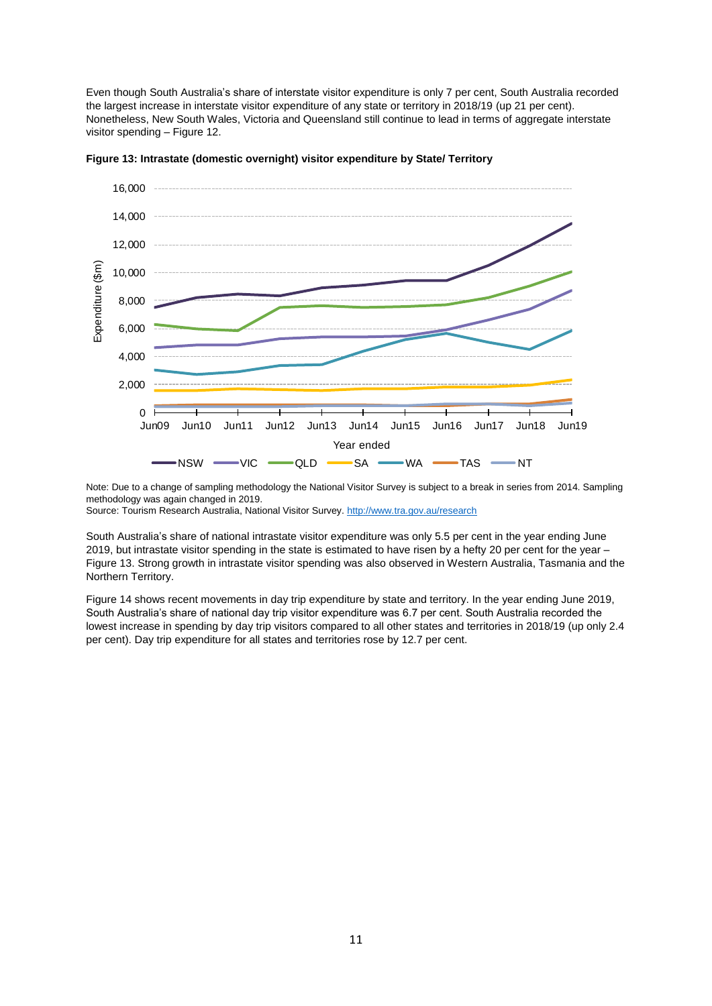Even though South Australia's share of interstate visitor expenditure is only 7 per cent, South Australia recorded the largest increase in interstate visitor expenditure of any state or territory in 2018/19 (up 21 per cent). Nonetheless, New South Wales, Victoria and Queensland still continue to lead in terms of aggregate interstate visitor spending – Figure 12.



**Figure 13: Intrastate (domestic overnight) visitor expenditure by State/ Territory**

Note: Due to a change of sampling methodology the National Visitor Survey is subject to a break in series from 2014. Sampling methodology was again changed in 2019.

Source: Tourism Research Australia, National Visitor Survey.<http://www.tra.gov.au/research>

South Australia's share of national intrastate visitor expenditure was only 5.5 per cent in the year ending June 2019, but intrastate visitor spending in the state is estimated to have risen by a hefty 20 per cent for the year – Figure 13. Strong growth in intrastate visitor spending was also observed in Western Australia, Tasmania and the Northern Territory.

Figure 14 shows recent movements in day trip expenditure by state and territory. In the year ending June 2019, South Australia's share of national day trip visitor expenditure was 6.7 per cent. South Australia recorded the lowest increase in spending by day trip visitors compared to all other states and territories in 2018/19 (up only 2.4 per cent). Day trip expenditure for all states and territories rose by 12.7 per cent.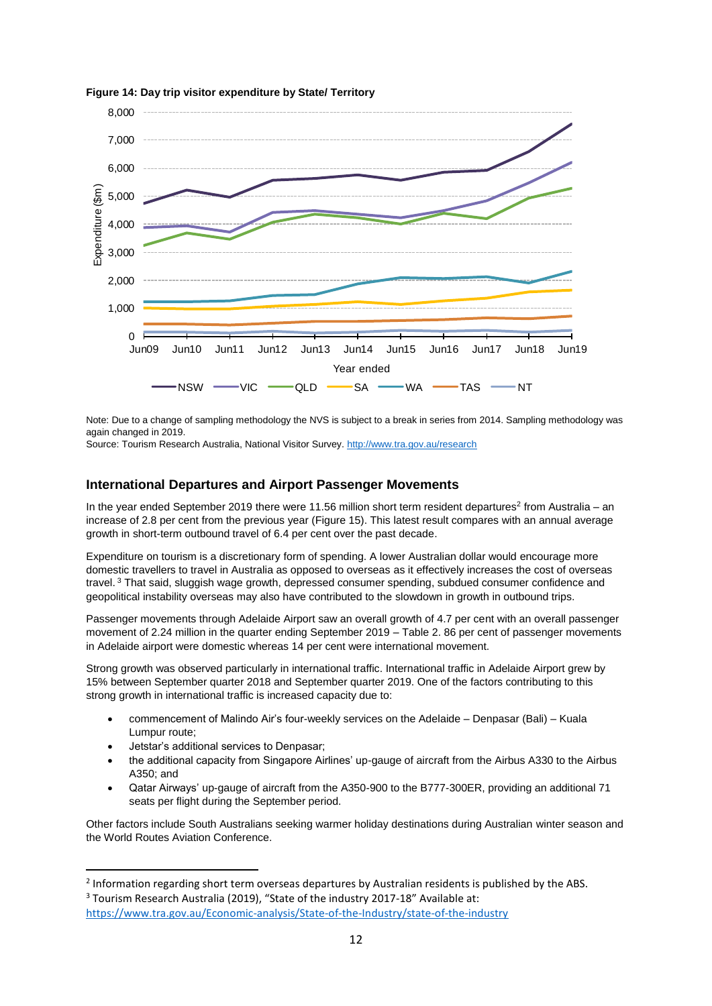

**Figure 14: Day trip visitor expenditure by State/ Territory**

Note: Due to a change of sampling methodology the NVS is subject to a break in series from 2014. Sampling methodology was again changed in 2019.

Source: Tourism Research Australia, National Visitor Survey.<http://www.tra.gov.au/research>

# **International Departures and Airport Passenger Movements**

In the year ended September 2019 there were 11.56 million short term resident departures<sup>2</sup> from Australia – an increase of 2.8 per cent from the previous year (Figure 15). This latest result compares with an annual average growth in short-term outbound travel of 6.4 per cent over the past decade.

Expenditure on tourism is a discretionary form of spending. A lower Australian dollar would encourage more domestic travellers to travel in Australia as opposed to overseas as it effectively increases the cost of overseas travel.<sup>3</sup> That said, sluggish wage growth, depressed consumer spending, subdued consumer confidence and geopolitical instability overseas may also have contributed to the slowdown in growth in outbound trips.

Passenger movements through Adelaide Airport saw an overall growth of 4.7 per cent with an overall passenger movement of 2.24 million in the quarter ending September 2019 – Table 2. 86 per cent of passenger movements in Adelaide airport were domestic whereas 14 per cent were international movement.

Strong growth was observed particularly in international traffic. International traffic in Adelaide Airport grew by 15% between September quarter 2018 and September quarter 2019. One of the factors contributing to this strong growth in international traffic is increased capacity due to:

- commencement of Malindo Air's four-weekly services on the Adelaide Denpasar (Bali) Kuala Lumpur route;
- Jetstar's additional services to Denpasar;

**.** 

- the additional capacity from Singapore Airlines' up-gauge of aircraft from the Airbus A330 to the Airbus A350; and
- Qatar Airways' up-gauge of aircraft from the A350-900 to the B777-300ER, providing an additional 71 seats per flight during the September period.

Other factors include South Australians seeking warmer holiday destinations during Australian winter season and the World Routes Aviation Conference.

<sup>&</sup>lt;sup>2</sup> Information regarding short term overseas departures by Australian residents is published by the ABS. <sup>3</sup> Tourism Research Australia (2019), "State of the industry 2017-18" Available at: <https://www.tra.gov.au/Economic-analysis/State-of-the-Industry/state-of-the-industry>